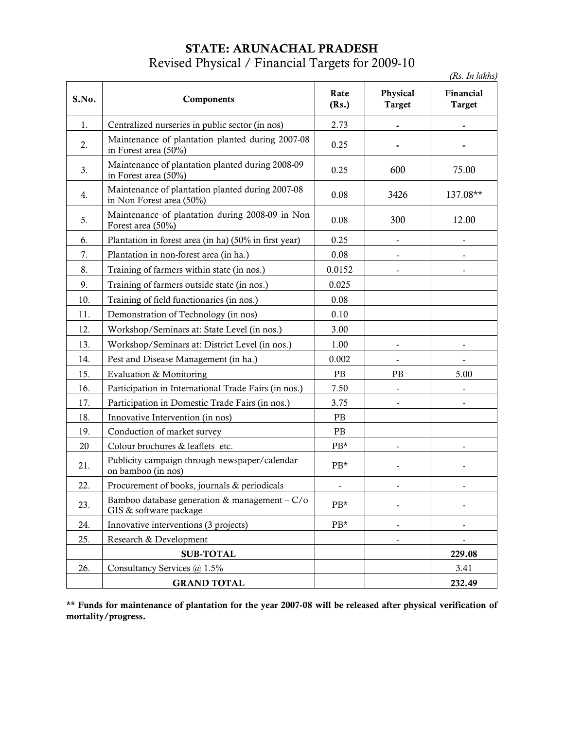## STATE: ARUNACHAL PRADESH Revised Physical / Financial Targets for 2009-10

(Rs. In lakhs)

| S.No. | Components                                                                   | Rate<br>(Rs.)    | Physical<br><b>Target</b> | Financial<br><b>Target</b> |
|-------|------------------------------------------------------------------------------|------------------|---------------------------|----------------------------|
| 1.    | Centralized nurseries in public sector (in nos)                              | 2.73             |                           |                            |
| 2.    | Maintenance of plantation planted during 2007-08<br>in Forest area (50%)     | 0.25             |                           |                            |
| 3.    | Maintenance of plantation planted during 2008-09<br>in Forest area (50%)     | 0.25             | 600                       | 75.00                      |
| 4.    | Maintenance of plantation planted during 2007-08<br>in Non Forest area (50%) | 0.08             | 3426                      | 137.08**                   |
| 5.    | Maintenance of plantation during 2008-09 in Non<br>Forest area (50%)         | 0.08             | 300                       | 12.00                      |
| 6.    | Plantation in forest area (in ha) (50% in first year)                        | 0.25             |                           |                            |
| 7.    | Plantation in non-forest area (in ha.)                                       | 0.08             | $\overline{\phantom{a}}$  |                            |
| 8.    | Training of farmers within state (in nos.)                                   | 0.0152           |                           |                            |
| 9.    | Training of farmers outside state (in nos.)                                  | 0.025            |                           |                            |
| 10.   | Training of field functionaries (in nos.)                                    | 0.08             |                           |                            |
| 11.   | Demonstration of Technology (in nos)                                         | 0.10             |                           |                            |
| 12.   | Workshop/Seminars at: State Level (in nos.)                                  | 3.00             |                           |                            |
| 13.   | Workshop/Seminars at: District Level (in nos.)                               | 1.00             |                           |                            |
| 14.   | Pest and Disease Management (in ha.)                                         | 0.002            | $\overline{\phantom{a}}$  |                            |
| 15.   | Evaluation & Monitoring                                                      | PB               | <b>PB</b>                 | 5.00                       |
| 16.   | Participation in International Trade Fairs (in nos.)                         | 7.50             |                           |                            |
| 17.   | Participation in Domestic Trade Fairs (in nos.)                              | 3.75             |                           |                            |
| 18.   | Innovative Intervention (in nos)                                             | PB               |                           |                            |
| 19.   | Conduction of market survey                                                  | <b>PB</b>        |                           |                            |
| 20    | Colour brochures & leaflets etc.                                             | PB*              |                           |                            |
| 21.   | Publicity campaign through newspaper/calendar<br>on bamboo (in nos)          | PB*              |                           |                            |
| 22.   | Procurement of books, journals & periodicals                                 |                  |                           |                            |
| 23.   | Bamboo database generation & management $-C/O$<br>GIS & software package     | $\rm PB^{\star}$ |                           |                            |
| 24.   | Innovative interventions (3 projects)                                        | PB*              | $\overline{\phantom{a}}$  |                            |
| 25.   | Research & Development                                                       |                  |                           |                            |
|       | <b>SUB-TOTAL</b>                                                             |                  |                           | 229.08                     |
| 26.   | Consultancy Services @ 1.5%                                                  |                  |                           | 3.41                       |
|       | <b>GRAND TOTAL</b>                                                           |                  |                           | 232.49                     |

\*\* Funds for maintenance of plantation for the year 2007-08 will be released after physical verification of mortality/progress.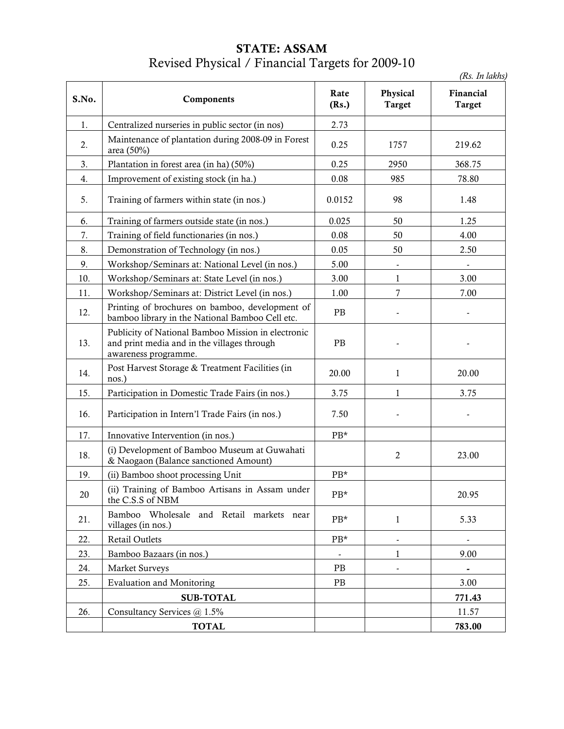### STATE: ASSAM Revised Physical / Financial Targets for 2009-10

(Rs. In lakhs)

| S.No.  | Components                                                                                                                | Rate<br>(Rs.)    | Physical<br><b>Target</b> | Financial<br><b>Target</b> |
|--------|---------------------------------------------------------------------------------------------------------------------------|------------------|---------------------------|----------------------------|
| 1.     | Centralized nurseries in public sector (in nos)                                                                           | 2.73             |                           |                            |
| 2.     | Maintenance of plantation during 2008-09 in Forest<br>area (50%)                                                          | 0.25             | 1757                      | 219.62                     |
| 3.     | Plantation in forest area (in ha) (50%)                                                                                   | 0.25             | 2950                      | 368.75                     |
| 4.     | Improvement of existing stock (in ha.)                                                                                    | 0.08             | 985                       | 78.80                      |
| 5.     | Training of farmers within state (in nos.)                                                                                | 0.0152           | 98                        | 1.48                       |
| 6.     | Training of farmers outside state (in nos.)                                                                               | 0.025            | 50                        | 1.25                       |
| 7.     | Training of field functionaries (in nos.)                                                                                 | 0.08             | 50                        | 4.00                       |
| 8.     | Demonstration of Technology (in nos.)                                                                                     | 0.05             | 50                        | 2.50                       |
| 9.     | Workshop/Seminars at: National Level (in nos.)                                                                            | 5.00             |                           |                            |
| 10.    | Workshop/Seminars at: State Level (in nos.)                                                                               | 3.00             | 1                         | 3.00                       |
| 11.    | Workshop/Seminars at: District Level (in nos.)                                                                            | 1.00             | 7                         | 7.00                       |
| 12.    | Printing of brochures on bamboo, development of<br>bamboo library in the National Bamboo Cell etc.                        | PB               |                           |                            |
| 13.    | Publicity of National Bamboo Mission in electronic<br>and print media and in the villages through<br>awareness programme. | PB               |                           |                            |
| 14.    | Post Harvest Storage & Treatment Facilities (in<br>nos.)                                                                  | 20.00            | 1                         | 20.00                      |
| 15.    | Participation in Domestic Trade Fairs (in nos.)                                                                           | 3.75             | 1                         | 3.75                       |
| 16.    | Participation in Intern'l Trade Fairs (in nos.)                                                                           | 7.50             |                           |                            |
| 17.    | Innovative Intervention (in nos.)                                                                                         | $PB*$            |                           |                            |
| 18.    | (i) Development of Bamboo Museum at Guwahati<br>& Naogaon (Balance sanctioned Amount)                                     |                  | $\overline{2}$            | 23.00                      |
| 19.    | (ii) Bamboo shoot processing Unit                                                                                         | PB*              |                           |                            |
| $20\,$ | (ii) Training of Bamboo Artisans in Assam under<br>the C.S.S of NBM                                                       | $\rm PB^{\star}$ |                           | 20.95                      |
| 21.    | Bamboo Wholesale and Retail markets near<br>villages (in nos.)                                                            | PB*              | $\mathbf{1}$              | 5.33                       |
| 22.    | Retail Outlets                                                                                                            | $PB*$            | $\overline{\phantom{a}}$  |                            |
| 23.    | Bamboo Bazaars (in nos.)                                                                                                  | $\blacksquare$   | $\mathbf{1}$              | 9.00                       |
| 24.    | <b>Market Surveys</b>                                                                                                     | PB               | $\frac{1}{2}$             | $\blacksquare$             |
| 25.    | <b>Evaluation and Monitoring</b>                                                                                          | PB               |                           | 3.00                       |
|        | <b>SUB-TOTAL</b>                                                                                                          |                  |                           | 771.43                     |
| 26.    | Consultancy Services @ 1.5%                                                                                               |                  |                           | 11.57                      |
|        | <b>TOTAL</b>                                                                                                              |                  |                           | 783.00                     |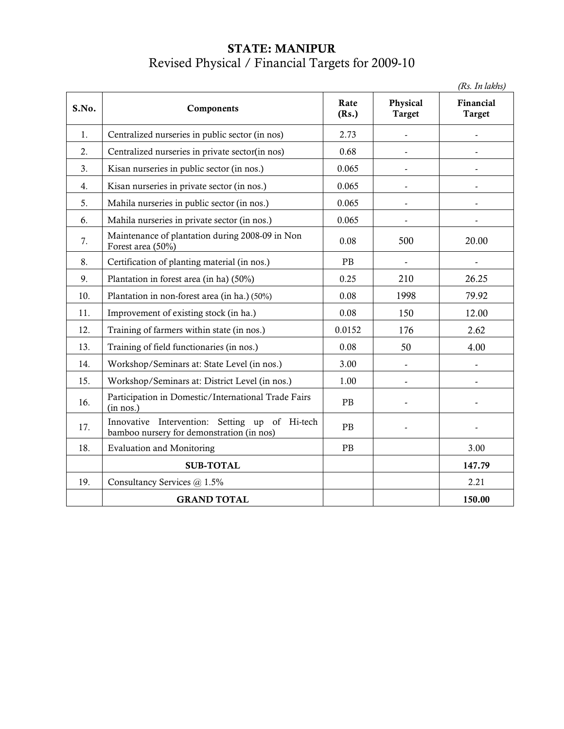### STATE: MANIPUR Revised Physical / Financial Targets for 2009-10

(Rs. In lakhs)

| S.No. | Components                                                                                  | Rate<br>(Rs.) | Physical<br><b>Target</b> | Financial<br><b>Target</b> |
|-------|---------------------------------------------------------------------------------------------|---------------|---------------------------|----------------------------|
| 1.    | Centralized nurseries in public sector (in nos)                                             | 2.73          | $\frac{1}{2}$             |                            |
| 2.    | Centralized nurseries in private sector(in nos)                                             | 0.68          | $\frac{1}{2}$             |                            |
| 3.    | Kisan nurseries in public sector (in nos.)                                                  | 0.065         | $\overline{a}$            |                            |
| 4.    | Kisan nurseries in private sector (in nos.)                                                 | 0.065         | $\overline{\phantom{a}}$  |                            |
| 5.    | Mahila nurseries in public sector (in nos.)                                                 | 0.065         | $\overline{a}$            |                            |
| 6.    | Mahila nurseries in private sector (in nos.)                                                | 0.065         |                           |                            |
| 7.    | Maintenance of plantation during 2008-09 in Non<br>Forest area (50%)                        | 0.08          | 500                       | 20.00                      |
| 8.    | Certification of planting material (in nos.)                                                | <b>PB</b>     |                           |                            |
| 9.    | Plantation in forest area (in ha) (50%)                                                     | 0.25          | 210                       | 26.25                      |
| 10.   | Plantation in non-forest area (in ha.) (50%)                                                | 0.08          | 1998                      | 79.92                      |
| 11.   | Improvement of existing stock (in ha.)                                                      | 0.08          | 150                       | 12.00                      |
| 12.   | Training of farmers within state (in nos.)                                                  | 0.0152        | 176                       | 2.62                       |
| 13.   | Training of field functionaries (in nos.)                                                   | 0.08          | 50                        | 4.00                       |
| 14.   | Workshop/Seminars at: State Level (in nos.)                                                 | 3.00          | $\overline{\phantom{a}}$  |                            |
| 15.   | Workshop/Seminars at: District Level (in nos.)                                              | 1.00          | $\overline{\phantom{a}}$  |                            |
| 16.   | Participation in Domestic/International Trade Fairs<br>(in nos.)                            | PB            |                           |                            |
| 17.   | Innovative Intervention: Setting up of Hi-tech<br>bamboo nursery for demonstration (in nos) | PB            |                           |                            |
| 18.   | <b>Evaluation and Monitoring</b>                                                            | PB            |                           | 3.00                       |
|       | <b>SUB-TOTAL</b>                                                                            |               |                           | 147.79                     |
| 19.   | Consultancy Services @ 1.5%                                                                 |               |                           | 2.21                       |
|       | <b>GRAND TOTAL</b>                                                                          |               |                           | 150.00                     |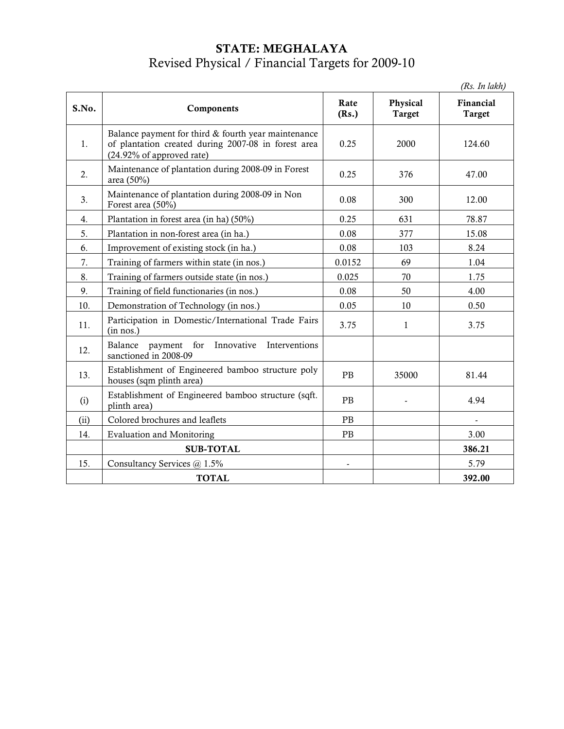# STATE: MEGHALAYA Revised Physical / Financial Targets for 2009-10

(Rs. In lakh)

| S.No.            | Components                                                                                                                              | Rate<br>(Rs.) | Physical<br><b>Target</b> | $(15.10 \mu K)$<br>Financial<br><b>Target</b> |
|------------------|-----------------------------------------------------------------------------------------------------------------------------------------|---------------|---------------------------|-----------------------------------------------|
| 1.               | Balance payment for third & fourth year maintenance<br>of plantation created during 2007-08 in forest area<br>(24.92% of approved rate) | 0.25          | 2000                      | 124.60                                        |
| 2.               | Maintenance of plantation during 2008-09 in Forest<br>area (50%)                                                                        | 0.25          | 376                       | 47.00                                         |
| 3.               | Maintenance of plantation during 2008-09 in Non<br>Forest area (50%)                                                                    | 0.08          | 300                       | 12.00                                         |
| $\overline{4}$ . | Plantation in forest area (in ha) (50%)                                                                                                 | 0.25          | 631                       | 78.87                                         |
| 5.               | Plantation in non-forest area (in ha.)                                                                                                  | 0.08          | 377                       | 15.08                                         |
| 6.               | Improvement of existing stock (in ha.)                                                                                                  | 0.08          | 103                       | 8.24                                          |
| 7.               | Training of farmers within state (in nos.)                                                                                              | 0.0152        | 69                        | 1.04                                          |
| 8.               | Training of farmers outside state (in nos.)                                                                                             | 0.025         | 70                        | 1.75                                          |
| 9.               | Training of field functionaries (in nos.)                                                                                               | 0.08          | 50                        | 4.00                                          |
| 10.              | Demonstration of Technology (in nos.)                                                                                                   | 0.05          | 10                        | 0.50                                          |
| 11.              | Participation in Domestic/International Trade Fairs<br>(in nos.)                                                                        | 3.75          | 1                         | 3.75                                          |
| 12.              | payment for<br>Balance<br>Innovative<br>Interventions<br>sanctioned in 2008-09                                                          |               |                           |                                               |
| 13.              | Establishment of Engineered bamboo structure poly<br>houses (sqm plinth area)                                                           | PB            | 35000                     | 81.44                                         |
| (i)              | Establishment of Engineered bamboo structure (sqft.<br>plinth area)                                                                     | PB            |                           | 4.94                                          |
| (ii)             | Colored brochures and leaflets                                                                                                          | <b>PB</b>     |                           |                                               |
| 14.              | <b>Evaluation and Monitoring</b>                                                                                                        | PB            |                           | 3.00                                          |
|                  | <b>SUB-TOTAL</b>                                                                                                                        |               |                           | 386.21                                        |
| 15.              | Consultancy Services @ 1.5%                                                                                                             |               |                           | 5.79                                          |
|                  | <b>TOTAL</b>                                                                                                                            |               |                           | 392.00                                        |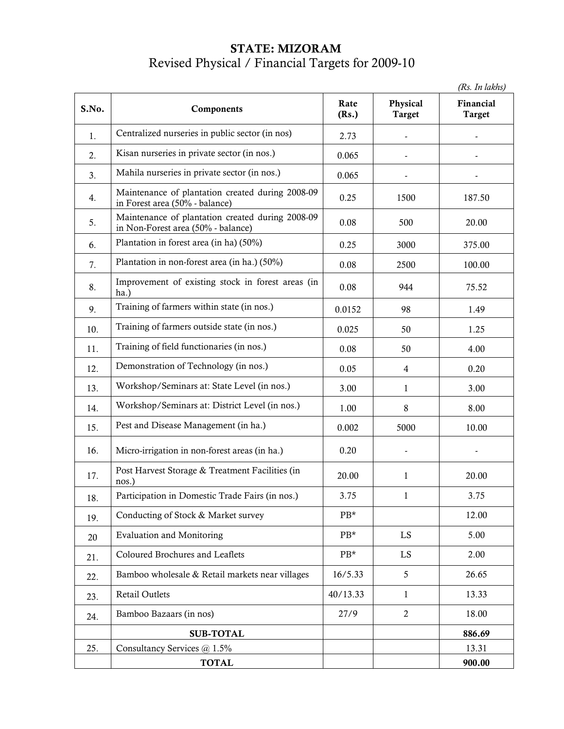### STATE: MIZORAM Revised Physical / Financial Targets for 2009-10

(Rs. In lakhs) S.No. Components Rate (Rs.) Physical Target Financial Target 1. Centralized nurseries in public sector (in nos) 2.73 - - 2. Kisan nurseries in private sector (in nos.)  $\vert$  0.065  $\beta$  Mahila nurseries in private sector (in nos.)  $\beta$  0.065 4. Maintenance of plantation created during 2008-09 Maintenance of plantation created during 2008-09 | 0.25 | 1500 | 187.50 5. Maintenance of plantation created during 2008-09 in Non-Forest area (50% - balance) 0.08 500 20.00 6. Plantation in forest area (in ha)  $(50\%)$   $\qquad \qquad$  0.25  $\qquad$  3000  $\qquad$  375.00 7. Plantation in non-forest area (in ha.)  $(50\%)$  0.08  $\left| \right|$  2500 100.00 8. Improvement of existing stock in forest areas  $(in \begin{vmatrix} 0.08 \\ 0.08 \end{vmatrix}$  944 75.52 9. Training of farmers within state (in nos.) 0.0152 98 1.49 10. Training of farmers outside state (in nos.)  $\begin{array}{|c|c|c|c|c|c|c|c|c|} \hline 0.025 & 50 & 1.25 \end{array}$  $11.$  Training of field functionaries (in nos.)  $0.08$  50  $4.00$ 12. Demonstration of Technology (in nos.) 0.05 4 0.20 13. Workshop/Seminars at: State Level (in nos.)  $\begin{array}{|c|c|c|c|c|c|c|c|c|} \hline 3.00 & 1 & 3.00 \hline \end{array}$  $14.$  Workshop/Seminars at: District Level (in nos.)  $1.00$  8 8.00 15. Pest and Disease Management (in ha.)  $\begin{array}{|c|c|c|c|c|c|c|c|c|} \hline 10.002 & 5000 & 10.00 \ \hline \end{array}$ 16. Micro-irrigation in non-forest areas (in ha.) 0.20 - - 17. Post Harvest Storage & Treatment Facilities (in  $\begin{array}{|l|l|}\n\hline\n20.00 & 1 & 20.00\n\end{array}$ 18. Participation in Domestic Trade Fairs (in nos.)  $\begin{array}{|l|l|} \hline 3.75 & 1 & 1 & 3.75 \ \hline \end{array}$ 19. Conducting of Stock & Market survey PB\* 12.00 20 Evaluation and Monitoring PB\* EX 5.00  $21.$  Coloured Brochures and Leaflets  $2.00$  $22 \quad$  Bamboo wholesale & Retail markets near villages  $\begin{array}{|l} \hline \end{array}$  16/5.33  $\begin{array}{|l} \hline \end{array}$  5 26.65 23. Retail Outlets 13.33 40/13.33 1 1 13.33 24. Bamboo Bazaars (in nos) 27/9 2 18.00 SUB-TOTAL 886.69 25. Consultancy Services @ 1.5% 13.31

TOTAL 900.00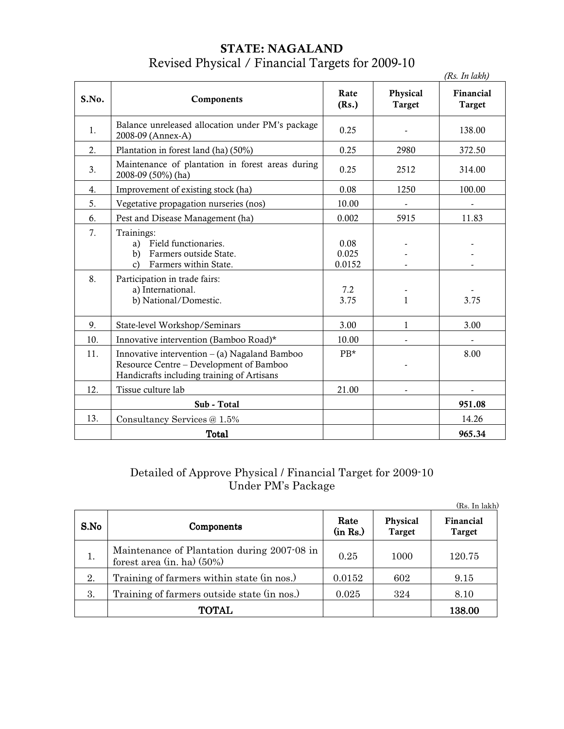## STATE: NAGALAND Revised Physical / Financial Targets for 2009-10

|       |                                                                                                                                          |                         |                           | (Rs. In lakh)       |
|-------|------------------------------------------------------------------------------------------------------------------------------------------|-------------------------|---------------------------|---------------------|
| S.No. | Components                                                                                                                               | Rate<br>(Rs.)           | Physical<br><b>Target</b> | Financial<br>Target |
| 1.    | Balance unreleased allocation under PM's package<br>2008-09 (Annex-A)                                                                    | 0.25                    |                           | 138.00              |
| 2.    | Plantation in forest land (ha) (50%)                                                                                                     | 0.25                    | 2980                      | 372.50              |
| 3.    | Maintenance of plantation in forest areas during<br>2008-09 (50%) (ha)                                                                   | 0.25                    | 2512                      | 314.00              |
| 4.    | Improvement of existing stock (ha)                                                                                                       | 0.08                    | 1250                      | 100.00              |
| 5.    | Vegetative propagation nurseries (nos)                                                                                                   | 10.00                   |                           |                     |
| 6.    | Pest and Disease Management (ha)                                                                                                         | 0.002                   | 5915                      | 11.83               |
| 7.    | Trainings:<br>a) Field functionaries.<br>Farmers outside State.<br>b)<br>Farmers within State.<br>$\mathcal{C}$                          | 0.08<br>0.025<br>0.0152 |                           |                     |
| 8.    | Participation in trade fairs:<br>a) International.<br>b) National/Domestic.                                                              | 7.2<br>3.75             | $\mathbf{1}$              | 3.75                |
| 9.    | State-level Workshop/Seminars                                                                                                            | 3.00                    | 1                         | 3.00                |
| 10.   | Innovative intervention (Bamboo Road)*                                                                                                   | 10.00                   |                           |                     |
| 11.   | Innovative intervention $-$ (a) Nagaland Bamboo<br>Resource Centre - Development of Bamboo<br>Handicrafts including training of Artisans | $PB*$                   |                           | 8.00                |
| 12.   | Tissue culture lab                                                                                                                       | 21.00                   |                           |                     |
|       | Sub - Total                                                                                                                              |                         |                           | 951.08              |
| 13.   | Consultancy Services @ 1.5%                                                                                                              |                         |                           | 14.26               |
|       | <b>Total</b>                                                                                                                             |                         |                           | 965.34              |

#### Detailed of Approve Physical / Financial Target for 2009-10 Under PM's Package

|      |                                                                             |                  |                    | (Rs. In lakh)       |
|------|-----------------------------------------------------------------------------|------------------|--------------------|---------------------|
| S.No | Components                                                                  | Rate<br>(in Rs.) | Physical<br>Target | Financial<br>Target |
| 1.   | Maintenance of Plantation during 2007-08 in<br>forest area $(in, ha)$ (50%) | 0.25             | 1000               | 120.75              |
| 2.   | Training of farmers within state (in nos.)                                  | 0.0152           | 602                | 9.15                |
| 3.   | Training of farmers outside state (in nos.)                                 | 0.025            | 324                | 8.10                |
|      | <b>TOTAL</b>                                                                |                  |                    | 138.00              |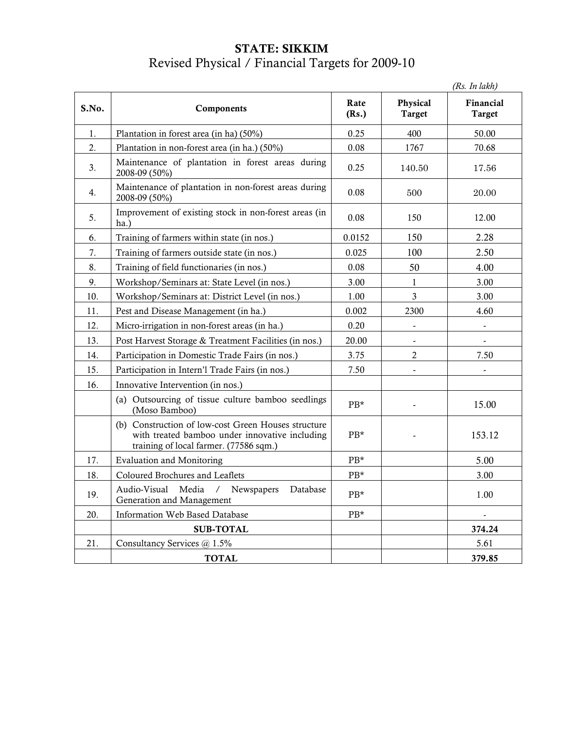### STATE: SIKKIM Revised Physical / Financial Targets for 2009-10

|       |                                                                                                                                                 |               |                           | (Rs. In lakh)              |
|-------|-------------------------------------------------------------------------------------------------------------------------------------------------|---------------|---------------------------|----------------------------|
| S.No. | Components                                                                                                                                      | Rate<br>(Rs.) | Physical<br><b>Target</b> | Financial<br><b>Target</b> |
| 1.    | Plantation in forest area (in ha) (50%)                                                                                                         | 0.25          | 400                       | 50.00                      |
| 2.    | Plantation in non-forest area (in ha.) (50%)                                                                                                    | 0.08          | 1767                      | 70.68                      |
| 3.    | Maintenance of plantation in forest areas during<br>2008-09 (50%)                                                                               | 0.25          | 140.50                    | 17.56                      |
| 4.    | Maintenance of plantation in non-forest areas during<br>2008-09 (50%)                                                                           | 0.08          | 500                       | 20.00                      |
| 5.    | Improvement of existing stock in non-forest areas (in<br>ha.)                                                                                   | 0.08          | 150                       | 12.00                      |
| 6.    | Training of farmers within state (in nos.)                                                                                                      | 0.0152        | 150                       | 2.28                       |
| 7.    | Training of farmers outside state (in nos.)                                                                                                     | 0.025         | 100                       | 2.50                       |
| 8.    | Training of field functionaries (in nos.)                                                                                                       | 0.08          | 50                        | 4.00                       |
| 9.    | Workshop/Seminars at: State Level (in nos.)                                                                                                     | 3.00          | $\mathbf{1}$              | 3.00                       |
| 10.   | Workshop/Seminars at: District Level (in nos.)                                                                                                  | 1.00          | $\overline{3}$            | 3.00                       |
| 11.   | Pest and Disease Management (in ha.)                                                                                                            | 0.002         | 2300                      | 4.60                       |
| 12.   | Micro-irrigation in non-forest areas (in ha.)                                                                                                   | 0.20          |                           |                            |
| 13.   | Post Harvest Storage & Treatment Facilities (in nos.)                                                                                           | 20.00         | $\frac{1}{2}$             | $\overline{\phantom{a}}$   |
| 14.   | Participation in Domestic Trade Fairs (in nos.)                                                                                                 | 3.75          | $\mathbf{2}$              | 7.50                       |
| 15.   | Participation in Intern'l Trade Fairs (in nos.)                                                                                                 | 7.50          | $\overline{a}$            |                            |
| 16.   | Innovative Intervention (in nos.)                                                                                                               |               |                           |                            |
|       | (a) Outsourcing of tissue culture bamboo seedlings<br>(Moso Bamboo)                                                                             | $PB*$         | $\overline{a}$            | 15.00                      |
|       | (b) Construction of low-cost Green Houses structure<br>with treated bamboo under innovative including<br>training of local farmer. (77586 sqm.) | $PB*$         |                           | 153.12                     |
| 17.   | <b>Evaluation and Monitoring</b>                                                                                                                | PB*           |                           | 5.00                       |
| 18.   | Coloured Brochures and Leaflets                                                                                                                 | PB*           |                           | 3.00                       |
| 19.   | Audio-Visual<br>Media<br>/ Newspapers<br>Database<br>Generation and Management                                                                  | $PB*$         |                           | 1.00                       |
| 20.   | Information Web Based Database                                                                                                                  | PB*           |                           |                            |
|       | <b>SUB-TOTAL</b>                                                                                                                                |               |                           | 374.24                     |
| 21.   | Consultancy Services @ 1.5%                                                                                                                     |               |                           | 5.61                       |
|       | <b>TOTAL</b>                                                                                                                                    |               |                           | 379.85                     |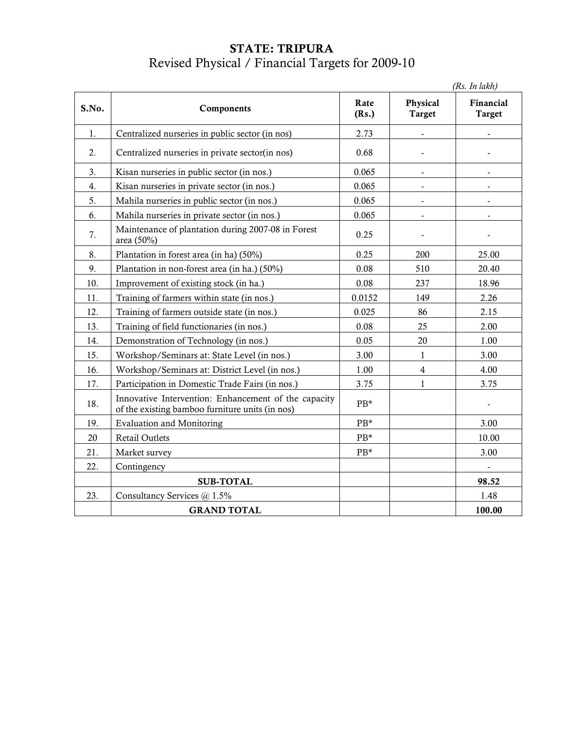### STATE: TRIPURA Revised Physical / Financial Targets for 2009-10

|       | (Rs. In lakh)                                                                                           |               |                           |                            |  |
|-------|---------------------------------------------------------------------------------------------------------|---------------|---------------------------|----------------------------|--|
| S.No. | Components                                                                                              | Rate<br>(Rs.) | Physical<br><b>Target</b> | Financial<br><b>Target</b> |  |
| 1.    | Centralized nurseries in public sector (in nos)                                                         | 2.73          |                           |                            |  |
| 2.    | Centralized nurseries in private sector(in nos)                                                         | 0.68          |                           |                            |  |
| 3.    | Kisan nurseries in public sector (in nos.)                                                              | 0.065         | $\blacksquare$            | $\overline{\phantom{a}}$   |  |
| 4.    | Kisan nurseries in private sector (in nos.)                                                             | 0.065         |                           |                            |  |
| 5.    | Mahila nurseries in public sector (in nos.)                                                             | 0.065         | $\overline{\phantom{a}}$  | $\overline{\phantom{a}}$   |  |
| 6.    | Mahila nurseries in private sector (in nos.)                                                            | 0.065         | $\overline{\phantom{a}}$  |                            |  |
| 7.    | Maintenance of plantation during 2007-08 in Forest<br>area (50%)                                        | 0.25          |                           |                            |  |
| 8.    | Plantation in forest area (in ha) (50%)                                                                 | 0.25          | 200                       | 25.00                      |  |
| 9.    | Plantation in non-forest area (in ha.) (50%)                                                            | 0.08          | 510                       | 20.40                      |  |
| 10.   | Improvement of existing stock (in ha.)                                                                  | 0.08          | 237                       | 18.96                      |  |
| 11.   | Training of farmers within state (in nos.)                                                              | 0.0152        | 149                       | 2.26                       |  |
| 12.   | Training of farmers outside state (in nos.)                                                             | 0.025         | 86                        | 2.15                       |  |
| 13.   | Training of field functionaries (in nos.)                                                               | 0.08          | 25                        | 2.00                       |  |
| 14.   | Demonstration of Technology (in nos.)                                                                   | 0.05          | 20                        | 1.00                       |  |
| 15.   | Workshop/Seminars at: State Level (in nos.)                                                             | 3.00          | $\mathbf{1}$              | 3.00                       |  |
| 16.   | Workshop/Seminars at: District Level (in nos.)                                                          | 1.00          | $\overline{4}$            | 4.00                       |  |
| 17.   | Participation in Domestic Trade Fairs (in nos.)                                                         | 3.75          | $\mathbf{1}$              | 3.75                       |  |
| 18.   | Innovative Intervention: Enhancement of the capacity<br>of the existing bamboo furniture units (in nos) | PB*           |                           | $\overline{\phantom{a}}$   |  |
| 19.   | <b>Evaluation and Monitoring</b>                                                                        | PB*           |                           | 3.00                       |  |
| 20    | Retail Outlets                                                                                          | $PB*$         |                           | 10.00                      |  |
| 21.   | Market survey                                                                                           | $PB*$         |                           | 3.00                       |  |
| 22.   | Contingency                                                                                             |               |                           |                            |  |
|       | <b>SUB-TOTAL</b>                                                                                        |               |                           | 98.52                      |  |
| 23.   | Consultancy Services @ 1.5%                                                                             |               |                           | 1.48                       |  |
|       | <b>GRAND TOTAL</b>                                                                                      |               |                           | 100.00                     |  |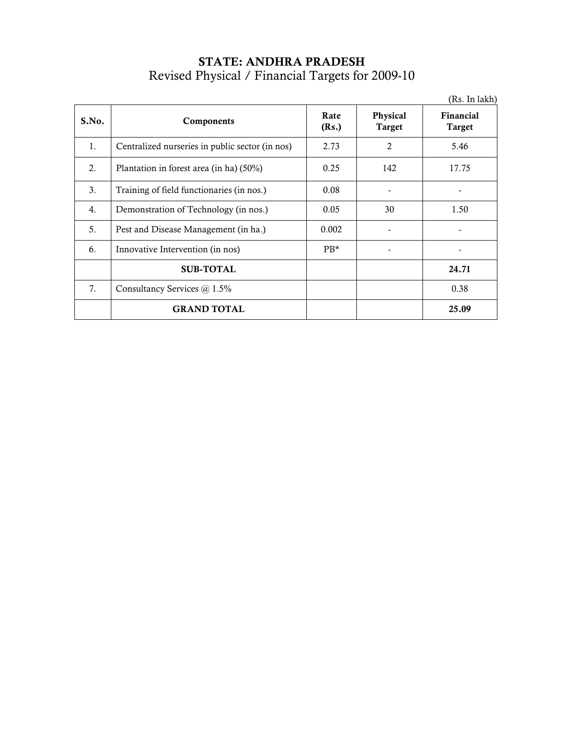# STATE: ANDHRA PRADESH Revised Physical / Financial Targets for 2009-10

|                |                                                 |               |                           | (Rs. In lakh)              |
|----------------|-------------------------------------------------|---------------|---------------------------|----------------------------|
| S.No.          | Components                                      | Rate<br>(Rs.) | Physical<br><b>Target</b> | Financial<br><b>Target</b> |
| 1.             | Centralized nurseries in public sector (in nos) | 2.73          | 2                         | 5.46                       |
| 2.             | Plantation in forest area (in ha) (50%)         | 0.25          | 142                       | 17.75                      |
| 3 <sub>1</sub> | Training of field functionaries (in nos.)       | 0.08          |                           |                            |
| 4.             | Demonstration of Technology (in nos.)           | 0.05          | 30                        | 1.50                       |
| 5.             | Pest and Disease Management (in ha.)            | 0.002         |                           |                            |
| 6.             | Innovative Intervention (in nos)                | $PB*$         |                           |                            |
|                | <b>SUB-TOTAL</b>                                |               |                           | 24.71                      |
| 7.             | Consultancy Services @ 1.5%                     |               |                           | 0.38                       |
|                | <b>GRAND TOTAL</b>                              |               |                           | 25.09                      |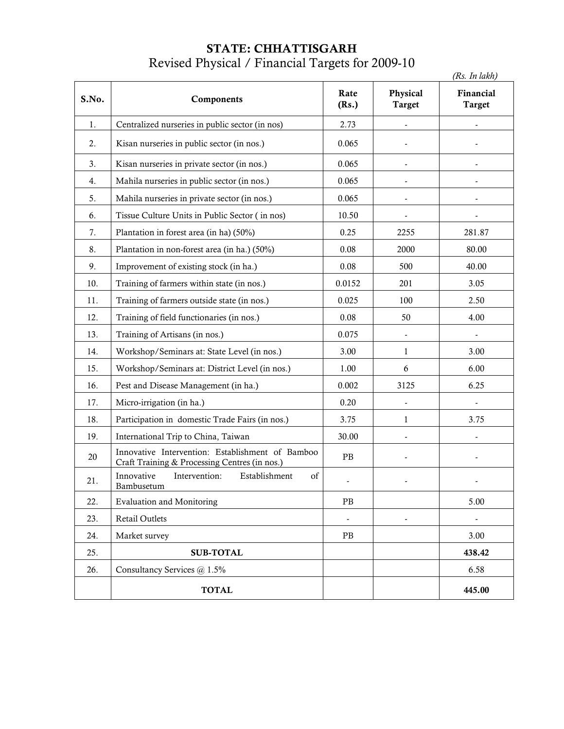### STATE: CHHATTISGARH Revised Physical / Financial Targets for 2009-10

|       |                                                                                                   |                          |                           | (Rs. In lakh)              |
|-------|---------------------------------------------------------------------------------------------------|--------------------------|---------------------------|----------------------------|
| S.No. | Components                                                                                        | Rate<br>(Rs.)            | Physical<br><b>Target</b> | Financial<br><b>Target</b> |
| 1.    | Centralized nurseries in public sector (in nos)                                                   | 2.73                     |                           |                            |
| 2.    | Kisan nurseries in public sector (in nos.)                                                        | 0.065                    |                           |                            |
| 3.    | Kisan nurseries in private sector (in nos.)                                                       | 0.065                    |                           |                            |
| 4.    | Mahila nurseries in public sector (in nos.)                                                       | 0.065                    |                           |                            |
| 5.    | Mahila nurseries in private sector (in nos.)                                                      | 0.065                    | $\overline{\phantom{a}}$  |                            |
| 6.    | Tissue Culture Units in Public Sector (in nos)                                                    | 10.50                    | $\overline{\phantom{0}}$  |                            |
| 7.    | Plantation in forest area (in ha) (50%)                                                           | 0.25                     | 2255                      | 281.87                     |
| 8.    | Plantation in non-forest area (in ha.) (50%)                                                      | 0.08                     | 2000                      | 80.00                      |
| 9.    | Improvement of existing stock (in ha.)                                                            | 0.08                     | 500                       | 40.00                      |
| 10.   | Training of farmers within state (in nos.)                                                        | 0.0152                   | 201                       | 3.05                       |
| 11.   | Training of farmers outside state (in nos.)                                                       | 0.025                    | 100                       | 2.50                       |
| 12.   | Training of field functionaries (in nos.)                                                         | 0.08                     | 50                        | 4.00                       |
| 13.   | Training of Artisans (in nos.)                                                                    | 0.075                    |                           |                            |
| 14.   | Workshop/Seminars at: State Level (in nos.)                                                       | 3.00                     | 1                         | 3.00                       |
| 15.   | Workshop/Seminars at: District Level (in nos.)                                                    | 1.00                     | 6                         | 6.00                       |
| 16.   | Pest and Disease Management (in ha.)                                                              | 0.002                    | 3125                      | 6.25                       |
| 17.   | Micro-irrigation (in ha.)                                                                         | 0.20                     |                           |                            |
| 18.   | Participation in domestic Trade Fairs (in nos.)                                                   | 3.75                     | 1                         | 3.75                       |
| 19.   | International Trip to China, Taiwan                                                               | 30.00                    |                           |                            |
| 20    | Innovative Intervention: Establishment of Bamboo<br>Craft Training & Processing Centres (in nos.) | $\rm{PB}$                |                           |                            |
| 21.   | Intervention:<br>Establishment<br>of<br>Innovative<br>Bambusetum                                  |                          |                           |                            |
| 22.   | <b>Evaluation and Monitoring</b>                                                                  | $\rm{PB}$                |                           | 5.00                       |
| 23.   | Retail Outlets                                                                                    | $\overline{\phantom{a}}$ |                           |                            |
| 24.   | Market survey                                                                                     | $\rm{PB}$                |                           | 3.00                       |
| 25.   | <b>SUB-TOTAL</b>                                                                                  |                          |                           | 438.42                     |
| 26.   | Consultancy Services @ 1.5%                                                                       |                          |                           | 6.58                       |
|       | <b>TOTAL</b>                                                                                      |                          |                           | 445.00                     |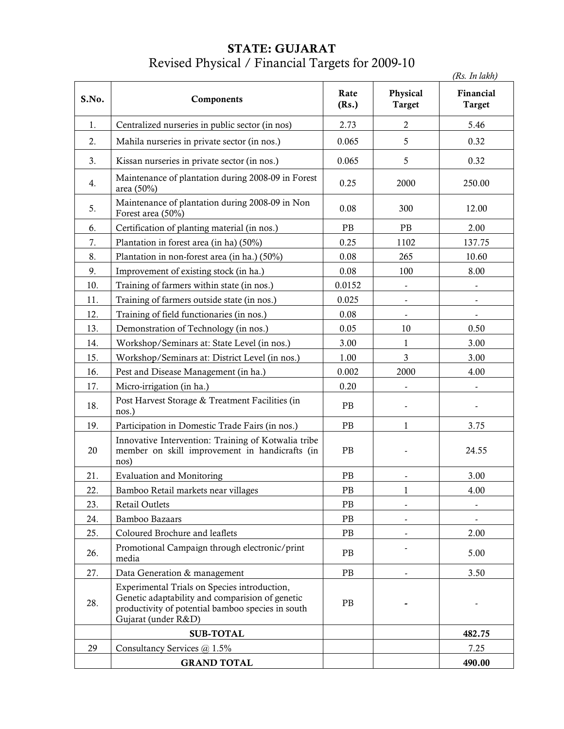### STATE: GUJARAT Revised Physical / Financial Targets for 2009-10

|       |                                                                                                                                                                             |               |                           | (Rs. In lakh)              |
|-------|-----------------------------------------------------------------------------------------------------------------------------------------------------------------------------|---------------|---------------------------|----------------------------|
| S.No. | Components                                                                                                                                                                  | Rate<br>(Rs.) | Physical<br><b>Target</b> | Financial<br><b>Target</b> |
| 1.    | Centralized nurseries in public sector (in nos)                                                                                                                             | 2.73          | $\mathbf{2}$              | 5.46                       |
| 2.    | Mahila nurseries in private sector (in nos.)                                                                                                                                | 0.065         | 5                         | 0.32                       |
| 3.    | Kissan nurseries in private sector (in nos.)                                                                                                                                | 0.065         | 5                         | 0.32                       |
| 4.    | Maintenance of plantation during 2008-09 in Forest<br>area (50%)                                                                                                            | 0.25          | 2000                      | 250.00                     |
| 5.    | Maintenance of plantation during 2008-09 in Non<br>Forest area (50%)                                                                                                        | 0.08          | 300                       | 12.00                      |
| 6.    | Certification of planting material (in nos.)                                                                                                                                | PB            | PB                        | 2.00                       |
| 7.    | Plantation in forest area (in ha) (50%)                                                                                                                                     | 0.25          | 1102                      | 137.75                     |
| 8.    | Plantation in non-forest area (in ha.) (50%)                                                                                                                                | 0.08          | 265                       | 10.60                      |
| 9.    | Improvement of existing stock (in ha.)                                                                                                                                      | 0.08          | 100                       | 8.00                       |
| 10.   | Training of farmers within state (in nos.)                                                                                                                                  | 0.0152        | -                         |                            |
| 11.   | Training of farmers outside state (in nos.)                                                                                                                                 | 0.025         |                           |                            |
| 12.   | Training of field functionaries (in nos.)                                                                                                                                   | 0.08          | $\overline{\phantom{a}}$  | $\overline{\phantom{a}}$   |
| 13.   | Demonstration of Technology (in nos.)                                                                                                                                       | 0.05          | 10                        | 0.50                       |
| 14.   | Workshop/Seminars at: State Level (in nos.)                                                                                                                                 | 3.00          | $\mathbf{1}$              | 3.00                       |
| 15.   | Workshop/Seminars at: District Level (in nos.)                                                                                                                              | 1.00          | 3                         | 3.00                       |
| 16.   | Pest and Disease Management (in ha.)                                                                                                                                        | 0.002         | 2000                      | 4.00                       |
| 17.   | Micro-irrigation (in ha.)                                                                                                                                                   | 0.20          | $\overline{\phantom{a}}$  | $\overline{\phantom{a}}$   |
| 18.   | Post Harvest Storage & Treatment Facilities (in<br>nos.)                                                                                                                    | PB            |                           |                            |
| 19.   | Participation in Domestic Trade Fairs (in nos.)                                                                                                                             | PB            | 1                         | 3.75                       |
| 20    | Innovative Intervention: Training of Kotwalia tribe<br>member on skill improvement in handicrafts (in<br>nos)                                                               | PB            |                           | 24.55                      |
| 21.   | <b>Evaluation and Monitoring</b>                                                                                                                                            | $\rm{PB}$     |                           | 3.00                       |
| 22.   | Bamboo Retail markets near villages                                                                                                                                         | PB            | 1                         | 4.00                       |
| 23.   | Retail Outlets                                                                                                                                                              | $\rm{PB}$     | $\overline{\phantom{a}}$  |                            |
| 24.   | Bamboo Bazaars                                                                                                                                                              | PB            | $\overline{\phantom{a}}$  | $\overline{\phantom{a}}$   |
| 25.   | Coloured Brochure and leaflets                                                                                                                                              | PB            |                           | 2.00                       |
| 26.   | Promotional Campaign through electronic/print<br>media                                                                                                                      | PB            |                           | 5.00                       |
| 27.   | Data Generation & management                                                                                                                                                | PB            |                           | 3.50                       |
| 28.   | Experimental Trials on Species introduction,<br>Genetic adaptability and comparision of genetic<br>productivity of potential bamboo species in south<br>Gujarat (under R&D) | PB            |                           |                            |
|       | <b>SUB-TOTAL</b>                                                                                                                                                            |               |                           | 482.75                     |
| 29    | Consultancy Services @ 1.5%                                                                                                                                                 |               |                           | 7.25                       |
|       | <b>GRAND TOTAL</b>                                                                                                                                                          |               |                           | 490.00                     |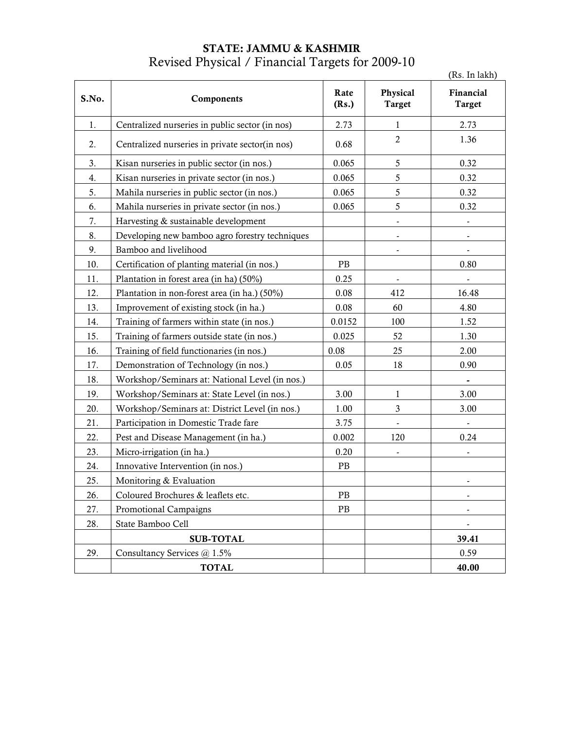# STATE: JAMMU & KASHMIR Revised Physical / Financial Targets for 2009-10

|       |                                                 |               |                           | (Rs. In lakh)              |
|-------|-------------------------------------------------|---------------|---------------------------|----------------------------|
| S.No. | Components                                      | Rate<br>(Rs.) | Physical<br><b>Target</b> | Financial<br><b>Target</b> |
| 1.    | Centralized nurseries in public sector (in nos) | 2.73          | $\mathbf{1}$              | 2.73                       |
| 2.    | Centralized nurseries in private sector(in nos) | 0.68          | $\overline{c}$            | 1.36                       |
| 3.    | Kisan nurseries in public sector (in nos.)      | 0.065         | 5                         | 0.32                       |
| 4.    | Kisan nurseries in private sector (in nos.)     | 0.065         | 5                         | 0.32                       |
| 5.    | Mahila nurseries in public sector (in nos.)     | 0.065         | 5                         | 0.32                       |
| 6.    | Mahila nurseries in private sector (in nos.)    | 0.065         | 5                         | 0.32                       |
| 7.    | Harvesting & sustainable development            |               |                           |                            |
| 8.    | Developing new bamboo agro forestry techniques  |               |                           |                            |
| 9.    | Bamboo and livelihood                           |               | $\overline{\phantom{a}}$  |                            |
| 10.   | Certification of planting material (in nos.)    | PB            |                           | 0.80                       |
| 11.   | Plantation in forest area (in ha) (50%)         | 0.25          |                           |                            |
| 12.   | Plantation in non-forest area (in ha.) (50%)    | 0.08          | 412                       | 16.48                      |
| 13.   | Improvement of existing stock (in ha.)          | 0.08          | 60                        | 4.80                       |
| 14.   | Training of farmers within state (in nos.)      | 0.0152        | 100                       | 1.52                       |
| 15.   | Training of farmers outside state (in nos.)     | 0.025         | 52                        | 1.30                       |
| 16.   | Training of field functionaries (in nos.)       | 0.08          | 25                        | 2.00                       |
| 17.   | Demonstration of Technology (in nos.)           | 0.05          | 18                        | 0.90                       |
| 18.   | Workshop/Seminars at: National Level (in nos.)  |               |                           |                            |
| 19.   | Workshop/Seminars at: State Level (in nos.)     | 3.00          | $\mathbf{1}$              | 3.00                       |
| 20.   | Workshop/Seminars at: District Level (in nos.)  | 1.00          | 3                         | 3.00                       |
| 21.   | Participation in Domestic Trade fare            | 3.75          |                           |                            |
| 22.   | Pest and Disease Management (in ha.)            | 0.002         | 120                       | 0.24                       |
| 23.   | Micro-irrigation (in ha.)                       | 0.20          |                           | $\overline{\phantom{0}}$   |
| 24.   | Innovative Intervention (in nos.)               | $\rm{PB}$     |                           |                            |
| 25.   | Monitoring & Evaluation                         |               |                           |                            |
| 26.   | Coloured Brochures & leaflets etc.              | PB            |                           |                            |
| 27.   | Promotional Campaigns                           | PB            |                           |                            |
| 28.   | State Bamboo Cell                               |               |                           |                            |
|       | <b>SUB-TOTAL</b>                                |               |                           | 39.41                      |
| 29.   | Consultancy Services @ 1.5%                     |               |                           | 0.59                       |
|       | <b>TOTAL</b>                                    |               |                           | 40.00                      |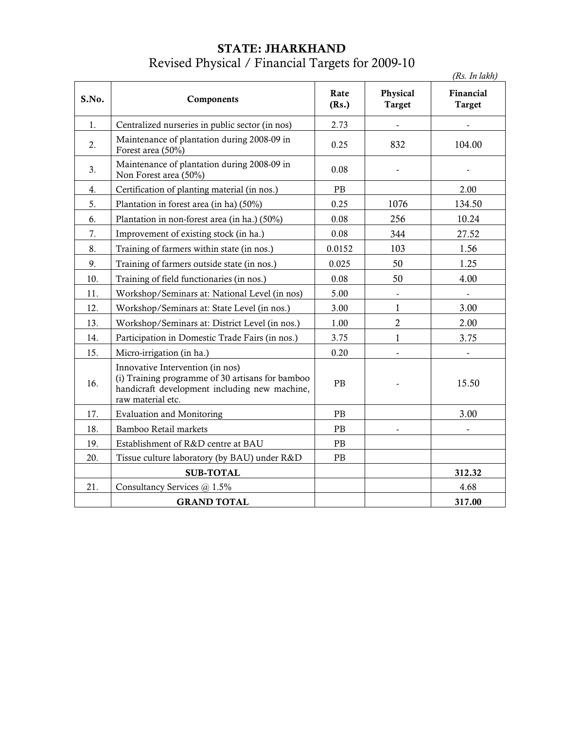### STATE: JHARKHAND Revised Physical / Financial Targets for 2009-10

|       |                                                                                                                                                            |               |                           | (Rs. In lakh)       |
|-------|------------------------------------------------------------------------------------------------------------------------------------------------------------|---------------|---------------------------|---------------------|
| S.No. | Components                                                                                                                                                 | Rate<br>(Rs.) | Physical<br><b>Target</b> | Financial<br>Target |
| 1.    | Centralized nurseries in public sector (in nos)                                                                                                            | 2.73          | $\overline{\phantom{a}}$  |                     |
| 2.    | Maintenance of plantation during 2008-09 in<br>Forest area (50%)                                                                                           | 0.25          | 832                       | 104.00              |
| 3.    | Maintenance of plantation during 2008-09 in<br>Non Forest area (50%)                                                                                       | 0.08          |                           |                     |
| 4.    | Certification of planting material (in nos.)                                                                                                               | PB            |                           | 2.00                |
| 5.    | Plantation in forest area (in ha) (50%)                                                                                                                    | 0.25          | 1076                      | 134.50              |
| 6.    | Plantation in non-forest area (in ha.) (50%)                                                                                                               | 0.08          | 256                       | 10.24               |
| 7.    | Improvement of existing stock (in ha.)                                                                                                                     | 0.08          | 344                       | 27.52               |
| 8.    | Training of farmers within state (in nos.)                                                                                                                 | 0.0152        | 103                       | 1.56                |
| 9.    | Training of farmers outside state (in nos.)                                                                                                                | 0.025         | 50                        | 1.25                |
| 10.   | Training of field functionaries (in nos.)                                                                                                                  | 0.08          | 50                        | 4.00                |
| 11.   | Workshop/Seminars at: National Level (in nos)                                                                                                              | 5.00          |                           |                     |
| 12.   | Workshop/Seminars at: State Level (in nos.)                                                                                                                | 3.00          | $\mathbf{1}$              | 3.00                |
| 13.   | Workshop/Seminars at: District Level (in nos.)                                                                                                             | 1.00          | $\mathbf{2}$              | 2.00                |
| 14.   | Participation in Domestic Trade Fairs (in nos.)                                                                                                            | 3.75          | $\mathbf{1}$              | 3.75                |
| 15.   | Micro-irrigation (in ha.)                                                                                                                                  | 0.20          | $\overline{a}$            |                     |
| 16.   | Innovative Intervention (in nos)<br>(i) Training programme of 30 artisans for bamboo<br>handicraft development including new machine,<br>raw material etc. | PB            |                           | 15.50               |
| 17.   | <b>Evaluation and Monitoring</b>                                                                                                                           | PB            |                           | 3.00                |
| 18.   | Bamboo Retail markets                                                                                                                                      | PB            |                           |                     |
| 19.   | Establishment of R&D centre at BAU                                                                                                                         | PB            |                           |                     |
| 20.   | Tissue culture laboratory (by BAU) under R&D                                                                                                               | PB            |                           |                     |
|       | <b>SUB-TOTAL</b>                                                                                                                                           |               |                           | 312.32              |
| 21.   | Consultancy Services @ 1.5%                                                                                                                                |               |                           | 4.68                |
|       | <b>GRAND TOTAL</b>                                                                                                                                         |               |                           | 317.00              |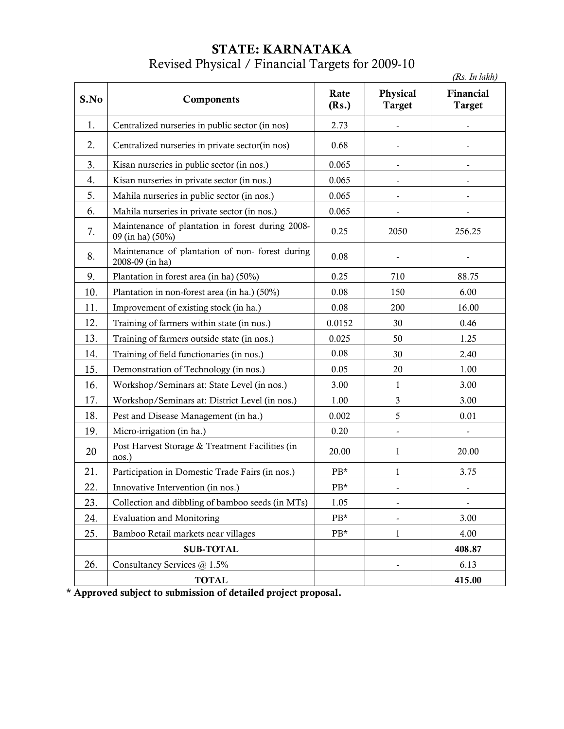## STATE: KARNATAKA Revised Physical / Financial Targets for 2009-10

|      |                                                                      |               |                                  | (Rs. In lakh)              |
|------|----------------------------------------------------------------------|---------------|----------------------------------|----------------------------|
| S.No | Components                                                           | Rate<br>(Rs.) | <b>Physical</b><br><b>Target</b> | Financial<br><b>Target</b> |
| 1.   | Centralized nurseries in public sector (in nos)                      | 2.73          |                                  |                            |
| 2.   | Centralized nurseries in private sector(in nos)                      | 0.68          |                                  |                            |
| 3.   | Kisan nurseries in public sector (in nos.)                           | 0.065         |                                  |                            |
| 4.   | Kisan nurseries in private sector (in nos.)                          | 0.065         |                                  |                            |
| 5.   | Mahila nurseries in public sector (in nos.)                          | 0.065         |                                  |                            |
| 6.   | Mahila nurseries in private sector (in nos.)                         | 0.065         |                                  |                            |
| 7.   | Maintenance of plantation in forest during 2008-<br>09 (in ha) (50%) | 0.25          | 2050                             | 256.25                     |
| 8.   | Maintenance of plantation of non-forest during<br>2008-09 (in ha)    | 0.08          |                                  |                            |
| 9.   | Plantation in forest area (in ha) (50%)                              | 0.25          | 710                              | 88.75                      |
| 10.  | Plantation in non-forest area (in ha.) (50%)                         | 0.08          | 150                              | 6.00                       |
| 11.  | Improvement of existing stock (in ha.)                               | 0.08          | 200                              | 16.00                      |
| 12.  | Training of farmers within state (in nos.)                           | 0.0152        | 30                               | 0.46                       |
| 13.  | Training of farmers outside state (in nos.)                          | 0.025         | 50                               | 1.25                       |
| 14.  | Training of field functionaries (in nos.)                            | 0.08          | 30                               | 2.40                       |
| 15.  | Demonstration of Technology (in nos.)                                | 0.05          | 20                               | 1.00                       |
| 16.  | Workshop/Seminars at: State Level (in nos.)                          | 3.00          | $\mathbf{1}$                     | 3.00                       |
| 17.  | Workshop/Seminars at: District Level (in nos.)                       | 1.00          | 3                                | 3.00                       |
| 18.  | Pest and Disease Management (in ha.)                                 | 0.002         | 5                                | 0.01                       |
| 19.  | Micro-irrigation (in ha.)                                            | 0.20          | -                                |                            |
| 20   | Post Harvest Storage & Treatment Facilities (in<br>nos.)             | 20.00         | 1                                | 20.00                      |
| 21.  | Participation in Domestic Trade Fairs (in nos.)                      | $PB*$         | 1                                | 3.75                       |
| 22.  | Innovative Intervention (in nos.)                                    | $PB*$         |                                  | $\frac{1}{2}$              |
| 23.  | Collection and dibbling of bamboo seeds (in MTs)                     | 1.05          |                                  |                            |
| 24.  | <b>Evaluation and Monitoring</b>                                     | PB*           |                                  | 3.00                       |
| 25.  | Bamboo Retail markets near villages                                  | PB*           | $\mathbf{1}$                     | 4.00                       |
|      | <b>SUB-TOTAL</b>                                                     |               |                                  | 408.87                     |
| 26.  | Consultancy Services @ 1.5%                                          |               |                                  | 6.13                       |
|      | <b>TOTAL</b>                                                         |               |                                  | 415.00                     |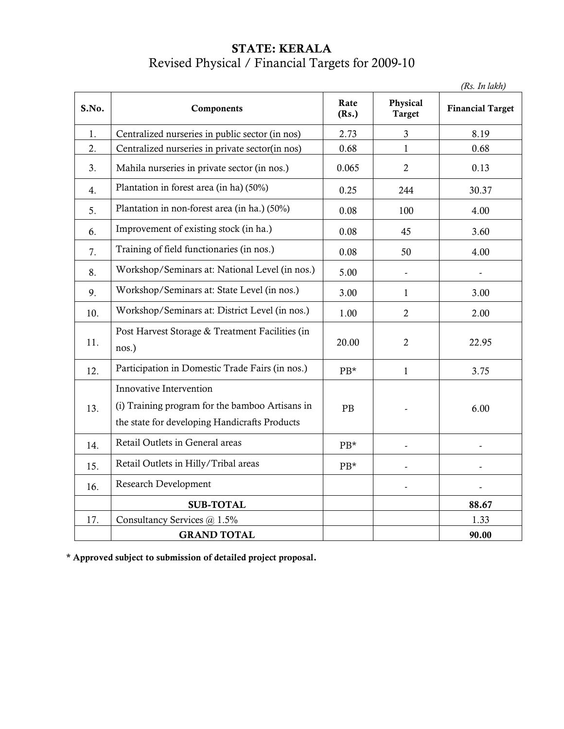# STATE: KERALA Revised Physical / Financial Targets for 2009-10

(Rs. In lakh)

| S.No. | Components                                                                                                                  | Rate<br>(Rs.) | Physical<br><b>Target</b>    | <b>Financial Target</b> |
|-------|-----------------------------------------------------------------------------------------------------------------------------|---------------|------------------------------|-------------------------|
| 1.    | Centralized nurseries in public sector (in nos)                                                                             | 2.73          | $\mathfrak{Z}$               | 8.19                    |
| 2.    | Centralized nurseries in private sector(in nos)                                                                             | 0.68          | $\mathbf{1}$                 | 0.68                    |
| 3.    | Mahila nurseries in private sector (in nos.)                                                                                | 0.065         | $\overline{2}$               | 0.13                    |
| 4.    | Plantation in forest area (in ha) (50%)                                                                                     | 0.25          | 244                          | 30.37                   |
| 5.    | Plantation in non-forest area (in ha.) (50%)                                                                                | 0.08          | 100                          | 4.00                    |
| 6.    | Improvement of existing stock (in ha.)                                                                                      | 0.08          | 45                           | 3.60                    |
| 7.    | Training of field functionaries (in nos.)                                                                                   | 0.08          | 50                           | 4.00                    |
| 8.    | Workshop/Seminars at: National Level (in nos.)                                                                              | 5.00          | $\qquad \qquad \blacksquare$ |                         |
| 9.    | Workshop/Seminars at: State Level (in nos.)                                                                                 | 3.00          | $\mathbf{1}$                 | 3.00                    |
| 10.   | Workshop/Seminars at: District Level (in nos.)                                                                              | 1.00          | $\overline{2}$               | 2.00                    |
| 11.   | Post Harvest Storage & Treatment Facilities (in<br>nos.)                                                                    | 20.00         | $\overline{2}$               | 22.95                   |
| 12.   | Participation in Domestic Trade Fairs (in nos.)                                                                             | PB*           | $\mathbf{1}$                 | 3.75                    |
| 13.   | Innovative Intervention<br>(i) Training program for the bamboo Artisans in<br>the state for developing Handicrafts Products | PB            |                              | 6.00                    |
| 14.   | Retail Outlets in General areas                                                                                             | PB*           |                              |                         |
| 15.   | Retail Outlets in Hilly/Tribal areas                                                                                        | $PB*$         |                              |                         |
| 16.   | <b>Research Development</b>                                                                                                 |               |                              |                         |
|       | <b>SUB-TOTAL</b>                                                                                                            |               |                              | 88.67                   |
| 17.   | Consultancy Services @ 1.5%                                                                                                 |               |                              | 1.33                    |
|       | <b>GRAND TOTAL</b>                                                                                                          |               |                              | 90.00                   |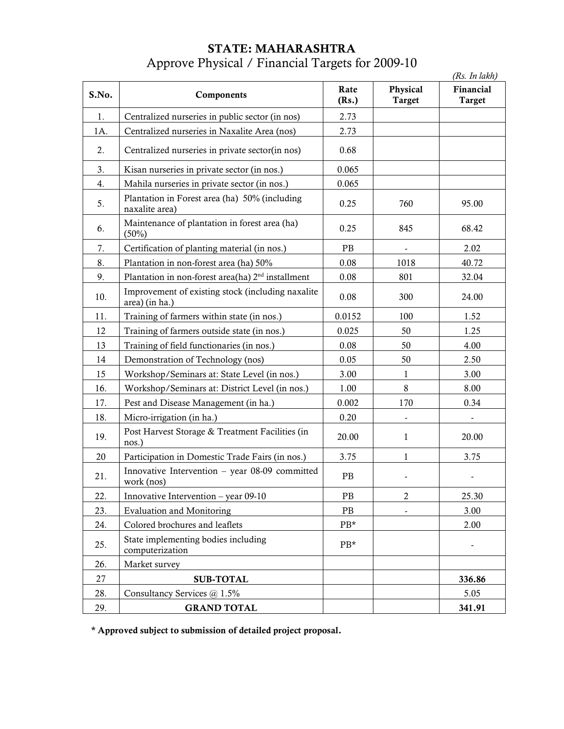# STATE: MAHARASHTRA Approve Physical / Financial Targets for 2009-10

|       |                                                                     |               |                           | (Rs. In lakh)              |
|-------|---------------------------------------------------------------------|---------------|---------------------------|----------------------------|
| S.No. | Components                                                          | Rate<br>(Rs.) | Physical<br><b>Target</b> | Financial<br><b>Target</b> |
| 1.    | Centralized nurseries in public sector (in nos)                     | 2.73          |                           |                            |
| 1A.   | Centralized nurseries in Naxalite Area (nos)                        | 2.73          |                           |                            |
| 2.    | Centralized nurseries in private sector(in nos)                     | 0.68          |                           |                            |
| 3.    | Kisan nurseries in private sector (in nos.)                         | 0.065         |                           |                            |
| 4.    | Mahila nurseries in private sector (in nos.)                        | 0.065         |                           |                            |
| 5.    | Plantation in Forest area (ha) 50% (including<br>naxalite area)     | 0.25          | 760                       | 95.00                      |
| 6.    | Maintenance of plantation in forest area (ha)<br>(50%)              | 0.25          | 845                       | 68.42                      |
| 7.    | Certification of planting material (in nos.)                        | PB            | $\frac{1}{2}$             | 2.02                       |
| 8.    | Plantation in non-forest area (ha) 50%                              | 0.08          | 1018                      | 40.72                      |
| 9.    | Plantation in non-forest area(ha) $2nd$ installment                 | 0.08          | 801                       | 32.04                      |
| 10.   | Improvement of existing stock (including naxalite<br>area) (in ha.) | 0.08          | 300                       | 24.00                      |
| 11.   | Training of farmers within state (in nos.)                          | 0.0152        | 100                       | 1.52                       |
| 12    | Training of farmers outside state (in nos.)                         | 0.025         | 50                        | 1.25                       |
| 13    | Training of field functionaries (in nos.)                           | 0.08          | 50                        | 4.00                       |
| 14    | Demonstration of Technology (nos)                                   | 0.05          | 50                        | 2.50                       |
| 15    | Workshop/Seminars at: State Level (in nos.)                         | 3.00          | 1                         | 3.00                       |
| 16.   | Workshop/Seminars at: District Level (in nos.)                      | 1.00          | 8                         | 8.00                       |
| 17.   | Pest and Disease Management (in ha.)                                | 0.002         | 170                       | 0.34                       |
| 18.   | Micro-irrigation (in ha.)                                           | 0.20          |                           |                            |
| 19.   | Post Harvest Storage & Treatment Facilities (in<br>nos.)            | 20.00         | 1                         | 20.00                      |
| 20    | Participation in Domestic Trade Fairs (in nos.)                     | 3.75          | 1                         | 3.75                       |
| 21.   | Innovative Intervention - year 08-09 committed<br>work (nos)        | $\rm{PB}$     |                           |                            |
| 22.   | Innovative Intervention - year 09-10                                | PB            | $\overline{c}$            | 25.30                      |
| 23.   | <b>Evaluation and Monitoring</b>                                    | PB            |                           | 3.00                       |
| 24.   | Colored brochures and leaflets                                      | PB*           |                           | 2.00                       |
| 25.   | State implementing bodies including<br>computerization              | PB*           |                           |                            |
| 26.   | Market survey                                                       |               |                           |                            |
| 27    | <b>SUB-TOTAL</b>                                                    |               |                           | 336.86                     |
| 28.   | Consultancy Services @ 1.5%                                         |               |                           | 5.05                       |
| 29.   | <b>GRAND TOTAL</b>                                                  |               |                           | 341.91                     |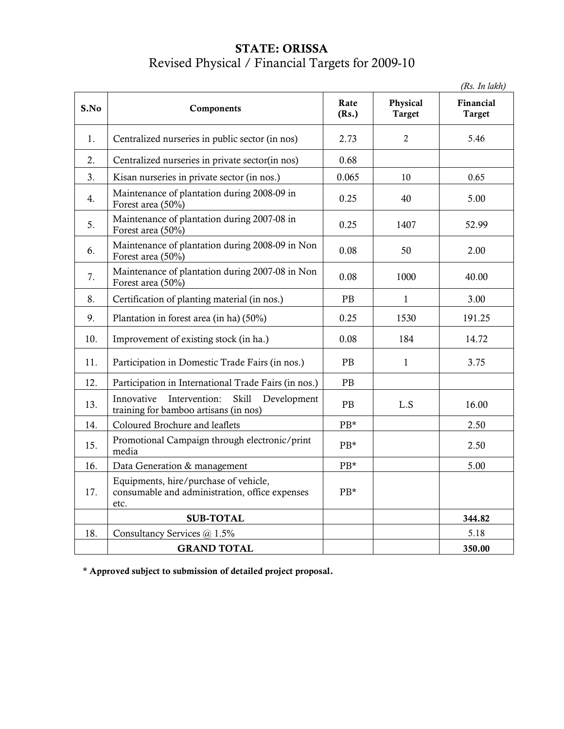## STATE: ORISSA Revised Physical / Financial Targets for 2009-10

(Rs. In lakh)

| S.No | Components                                                                                          | Rate<br>(Rs.)     | Physical<br><b>Target</b> | Financial<br><b>Target</b> |
|------|-----------------------------------------------------------------------------------------------------|-------------------|---------------------------|----------------------------|
| 1.   | Centralized nurseries in public sector (in nos)                                                     | 2.73              | $\overline{2}$            | 5.46                       |
| 2.   | Centralized nurseries in private sector(in nos)                                                     | 0.68              |                           |                            |
| 3.   | Kisan nurseries in private sector (in nos.)                                                         | 0.065             | 10                        | 0.65                       |
| 4.   | Maintenance of plantation during 2008-09 in<br>Forest area (50%)                                    | 0.25              | 40                        | 5.00                       |
| 5.   | Maintenance of plantation during 2007-08 in<br>Forest area (50%)                                    | 0.25              | 1407                      | 52.99                      |
| 6.   | Maintenance of plantation during 2008-09 in Non<br>Forest area (50%)                                | 0.08              | 50                        | 2.00                       |
| 7.   | Maintenance of plantation during 2007-08 in Non<br>Forest area (50%)                                | 0.08              | 1000                      | 40.00                      |
| 8.   | Certification of planting material (in nos.)                                                        | PB                | $\mathbf{1}$              | 3.00                       |
| 9.   | Plantation in forest area (in ha) (50%)                                                             | 0.25              | 1530                      | 191.25                     |
| 10.  | Improvement of existing stock (in ha.)                                                              | 0.08              | 184                       | 14.72                      |
| 11.  | Participation in Domestic Trade Fairs (in nos.)                                                     | PB                | $\mathbf{1}$              | 3.75                       |
| 12.  | Participation in International Trade Fairs (in nos.)                                                | PB                |                           |                            |
| 13.  | Innovative<br>Intervention:<br><b>Skill</b><br>Development<br>training for bamboo artisans (in nos) | PB                | L.S                       | 16.00                      |
| 14.  | Coloured Brochure and leaflets                                                                      | $PB*$             |                           | 2.50                       |
| 15.  | Promotional Campaign through electronic/print<br>media                                              | PB*               |                           | 2.50                       |
| 16.  | Data Generation & management                                                                        | $\rm{PB^{\star}}$ |                           | 5.00                       |
| 17.  | Equipments, hire/purchase of vehicle,<br>consumable and administration, office expenses<br>etc.     | $PB*$             |                           |                            |
|      | <b>SUB-TOTAL</b>                                                                                    |                   |                           | 344.82                     |
| 18.  | Consultancy Services @ 1.5%                                                                         |                   |                           | 5.18                       |
|      | <b>GRAND TOTAL</b>                                                                                  |                   |                           | 350.00                     |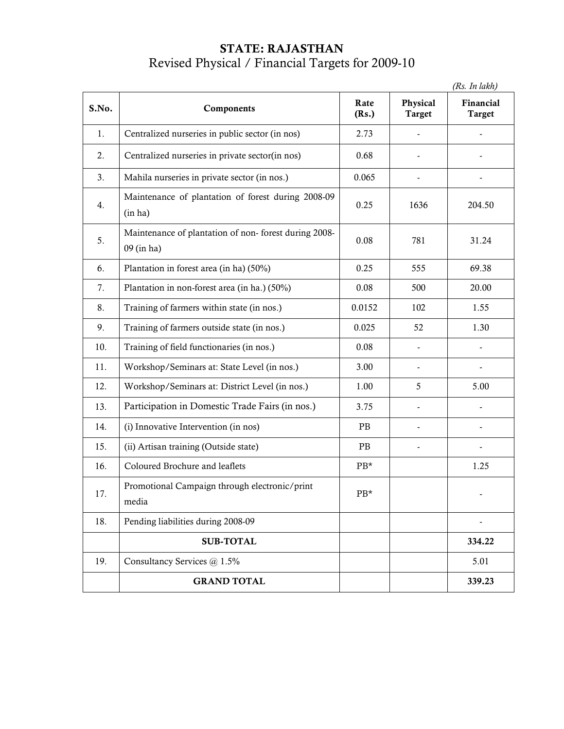### STATE: RAJASTHAN Revised Physical / Financial Targets for 2009-10

 (Rs. In lakh) S.No. Components Rate (Rs.) Physical Target Financial Target 1. Centralized nurseries in public sector (in nos)  $\begin{array}{|l|} \hline \end{array}$  2.73  $\begin{array}{|l|} \hline \end{array}$ 2. Centralized nurseries in private sector(in nos) 0.68 -3. | Mahila nurseries in private sector (in nos.)  $\vert$  0.065  $\vert$  -  $\vert$  -4. Maintenance of plantation of forest during 2008-09 (in ha) 0.25 1636 204.50 5. Maintenance of plantation of non- forest during 2008- 09 (in ha) 0.08 781 31.24 6. Plantation in forest area (in ha)  $(50\%)$  0.25 69.38 69.38 7. Plantation in non-forest area (in ha.) (50%) 0.08 500 20.00 8. Training of farmers within state (in nos.)  $\begin{array}{|l|c|c|c|c|c|c|c|} \hline 0.0152 & 102 & 1.55 \end{array}$ 9. Training of farmers outside state (in nos.)  $\begin{array}{|l|c|c|c|c|c|c|c|c|} \hline 0.025 & 52 & 1.30 \hline \end{array}$ 10. Training of field functionaries (in nos.) 0.08 - - 11. Workshop/Seminars at: State Level (in nos.) 3.00 - - | -12. Workshop/Seminars at: District Level (in nos.) 1.00 5.00 5.00 13. Participation in Domestic Trade Fairs (in nos.) 3.75 | 14. (i) Innovative Intervention (in nos) PB PB -15. (ii) Artisan training (Outside state) PB PB -16. Coloured Brochure and leaflets PB\* 1.25 17. Promotional Campaign through electronic/print media  $PB*$ 18. Pending liabilities during 2008-09 and the state of the state of the state of the state of the state of the state of the state of the state of the state of the state of the state of the state of the state of the state SUB-TOTAL 334.22 19. Consultancy Services  $\omega$  1.5% 5.01 GRAND TOTAL 339.23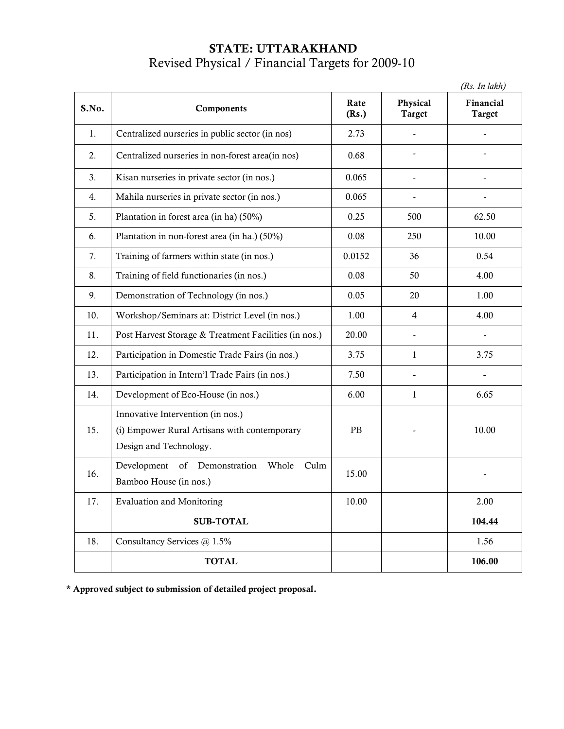## STATE: UTTARAKHAND Revised Physical / Financial Targets for 2009-10

(Rs. In lakh)

| S.No. | Components                                                                                                  | Rate<br>(Rs.) | Physical<br><b>Target</b> | Financial<br><b>Target</b> |
|-------|-------------------------------------------------------------------------------------------------------------|---------------|---------------------------|----------------------------|
| 1.    | Centralized nurseries in public sector (in nos)                                                             | 2.73          |                           |                            |
| 2.    | Centralized nurseries in non-forest area(in nos)                                                            | 0.68          |                           |                            |
| 3.    | Kisan nurseries in private sector (in nos.)                                                                 | 0.065         | $\overline{\phantom{a}}$  |                            |
| 4.    | Mahila nurseries in private sector (in nos.)                                                                | 0.065         |                           |                            |
| 5.    | Plantation in forest area (in ha) (50%)                                                                     | 0.25          | 500                       | 62.50                      |
| 6.    | Plantation in non-forest area (in ha.) (50%)                                                                | 0.08          | 250                       | 10.00                      |
| 7.    | Training of farmers within state (in nos.)                                                                  | 0.0152        | 36                        | 0.54                       |
| 8.    | Training of field functionaries (in nos.)                                                                   | 0.08          | 50                        | 4.00                       |
| 9.    | Demonstration of Technology (in nos.)                                                                       | 0.05          | 20                        | 1.00                       |
| 10.   | Workshop/Seminars at: District Level (in nos.)                                                              | 1.00          | $\overline{4}$            | 4.00                       |
| 11.   | Post Harvest Storage & Treatment Facilities (in nos.)                                                       | 20.00         | $\blacksquare$            |                            |
| 12.   | Participation in Domestic Trade Fairs (in nos.)                                                             | 3.75          | $\mathbf{1}$              | 3.75                       |
| 13.   | Participation in Intern'l Trade Fairs (in nos.)                                                             | 7.50          |                           |                            |
| 14.   | Development of Eco-House (in nos.)                                                                          | 6.00          | $\mathbf{1}$              | 6.65                       |
| 15.   | Innovative Intervention (in nos.)<br>(i) Empower Rural Artisans with contemporary<br>Design and Technology. | PB            |                           | 10.00                      |
| 16.   | Development of Demonstration<br>Whole<br>Culm<br>Bamboo House (in nos.)                                     | 15.00         |                           |                            |
| 17.   | <b>Evaluation and Monitoring</b>                                                                            | 10.00         |                           | 2.00                       |
|       | <b>SUB-TOTAL</b>                                                                                            |               |                           | 104.44                     |
| 18.   | Consultancy Services @ 1.5%                                                                                 |               |                           | 1.56                       |
|       | <b>TOTAL</b>                                                                                                |               |                           | 106.00                     |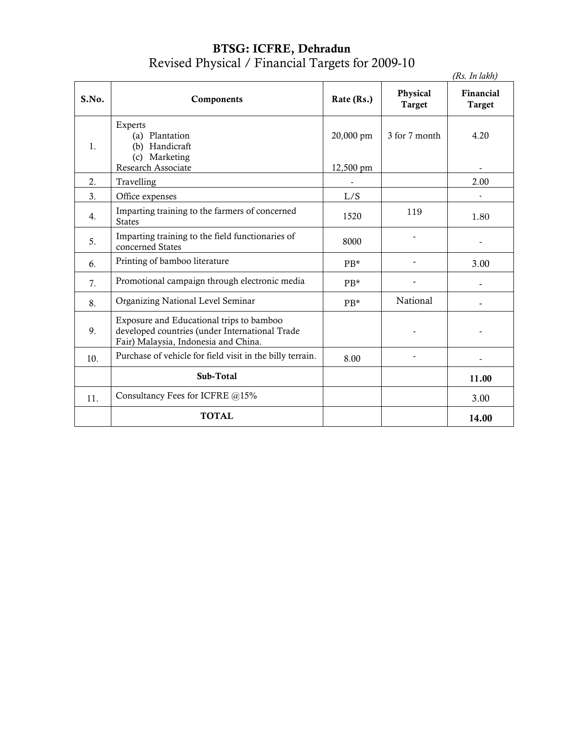#### BTSG: ICFRE, Dehradun Revised Physical / Financial Targets for 2009-10

|       |                                                                                                                                    |                        |                                  | (Rs. In lakh)              |
|-------|------------------------------------------------------------------------------------------------------------------------------------|------------------------|----------------------------------|----------------------------|
| S.No. | Components                                                                                                                         | Rate (Rs.)             | <b>Physical</b><br><b>Target</b> | Financial<br><b>Target</b> |
| 1.    | Experts<br>(a) Plantation<br>(b) Handicraft<br>(c) Marketing<br>Research Associate                                                 | 20,000 pm<br>12,500 pm | 3 for 7 month                    | 4.20                       |
| 2.    | Travelling                                                                                                                         |                        |                                  | 2.00                       |
| 3.    | Office expenses                                                                                                                    | L/S                    |                                  |                            |
| 4.    | Imparting training to the farmers of concerned<br><b>States</b>                                                                    | 1520                   | 119                              | 1.80                       |
| 5.    | Imparting training to the field functionaries of<br>concerned States                                                               | 8000                   |                                  |                            |
| 6.    | Printing of bamboo literature                                                                                                      | $PB*$                  |                                  | 3.00                       |
| 7.    | Promotional campaign through electronic media                                                                                      | $PB*$                  |                                  |                            |
| 8.    | Organizing National Level Seminar                                                                                                  | $PR*$                  | National                         |                            |
| 9.    | Exposure and Educational trips to bamboo<br>developed countries (under International Trade<br>Fair) Malaysia, Indonesia and China. |                        |                                  |                            |
| 10.   | Purchase of vehicle for field visit in the billy terrain.                                                                          | 8.00                   |                                  |                            |
|       | Sub-Total                                                                                                                          |                        |                                  | 11.00                      |
| 11.   | Consultancy Fees for ICFRE @15%                                                                                                    |                        |                                  | 3.00                       |
|       | <b>TOTAL</b>                                                                                                                       |                        |                                  | 14.00                      |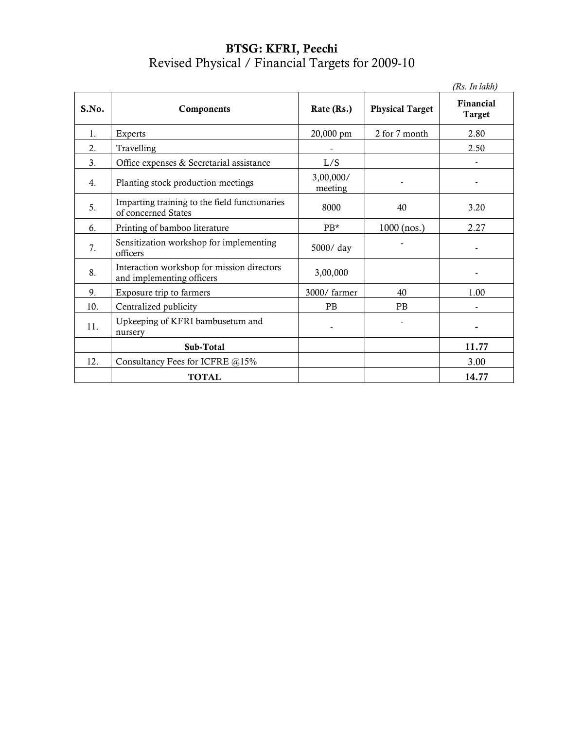### BTSG: KFRI, Peechi Revised Physical / Financial Targets for 2009-10

|       |                                                                         |                      |                        | (Rs. In lakh)              |
|-------|-------------------------------------------------------------------------|----------------------|------------------------|----------------------------|
| S.No. | Components                                                              | Rate (Rs.)           | <b>Physical Target</b> | Financial<br><b>Target</b> |
| 1.    | Experts                                                                 | 20,000 pm            | 2 for 7 month          | 2.80                       |
| 2.    | Travelling                                                              |                      |                        | 2.50                       |
| 3.    | Office expenses & Secretarial assistance                                | L/S                  |                        |                            |
| 4.    | Planting stock production meetings                                      | 3,00,000/<br>meeting |                        |                            |
| 5.    | Imparting training to the field functionaries<br>of concerned States    | 8000                 | 40                     | 3.20                       |
| 6.    | Printing of bamboo literature                                           | PB*                  | $1000$ (nos.)          | 2.27                       |
| 7.    | Sensitization workshop for implementing<br>officers                     | 5000/day             |                        |                            |
| 8.    | Interaction workshop for mission directors<br>and implementing officers | 3,00,000             |                        |                            |
| 9.    | Exposure trip to farmers                                                | 3000/farmer          | 40                     | 1.00                       |
| 10.   | Centralized publicity                                                   | <b>PB</b>            | PB                     |                            |
| 11.   | Upkeeping of KFRI bambusetum and<br>nursery                             |                      |                        |                            |
|       | Sub-Total                                                               |                      |                        | 11.77                      |
| 12.   | Consultancy Fees for ICFRE @15%                                         |                      |                        | 3.00                       |
|       | <b>TOTAL</b>                                                            |                      |                        | 14.77                      |